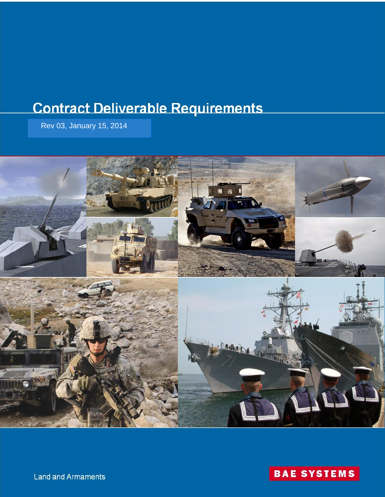# **Contract Deliverable Requirements**

Rev 03, January 15, 2014





**Land and Armaments**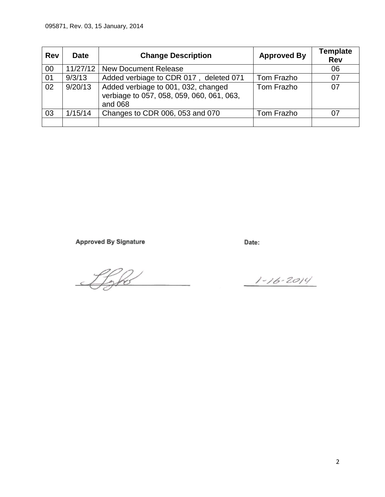| <b>Rev</b> | <b>Date</b> | <b>Change Description</b>                                                                   | <b>Approved By</b> | <b>Template</b><br><b>Rev</b> |
|------------|-------------|---------------------------------------------------------------------------------------------|--------------------|-------------------------------|
| 00         | 11/27/12    | <b>New Document Release</b>                                                                 |                    | 06                            |
| 01         | 9/3/13      | Added verbiage to CDR 017, deleted 071                                                      | Tom Frazho         | 07                            |
| 02         | 9/20/13     | Added verbiage to 001, 032, changed<br>verbiage to 057, 058, 059, 060, 061, 063,<br>and 068 | Tom Frazho         | 07                            |
| 03         | 1/15/14     | Changes to CDR 006, 053 and 070                                                             | Tom Frazho         |                               |
|            |             |                                                                                             |                    |                               |

**Approved By Signature** 

Date:

Ifoho

 $1 - 16 - 2014$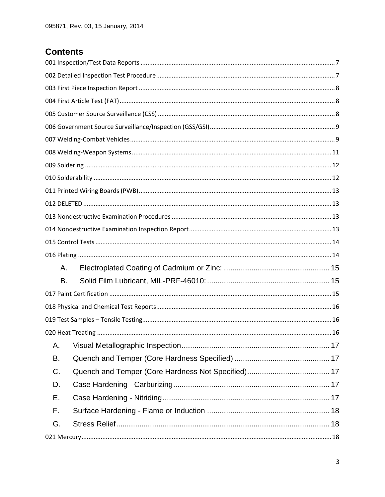# **Contents**

| А. |  |
|----|--|
| В. |  |
|    |  |
|    |  |
|    |  |
|    |  |
| Α. |  |
| В. |  |
| C. |  |
| D. |  |
| Е. |  |
| F. |  |
| G. |  |
|    |  |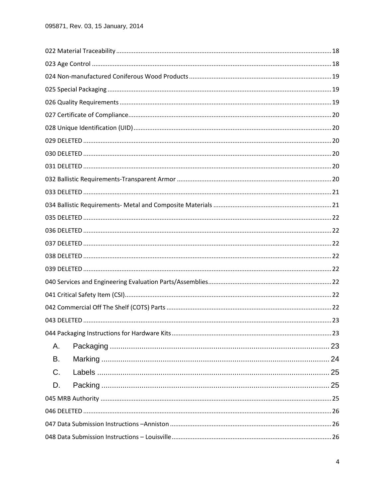| Α. |  |
|----|--|
| В. |  |
| C. |  |
| D. |  |
|    |  |
|    |  |
|    |  |
|    |  |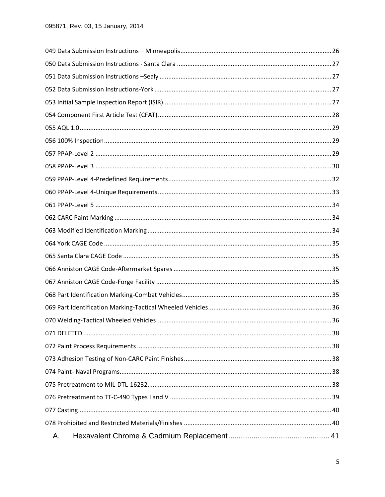| А. |  |
|----|--|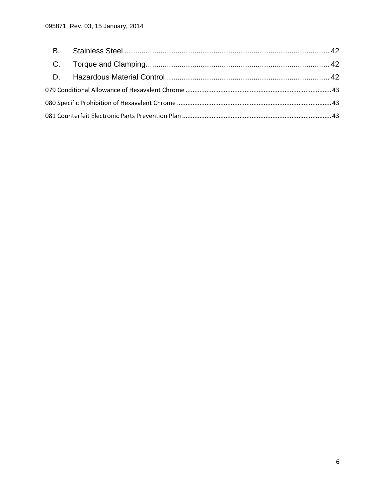<span id="page-5-0"></span>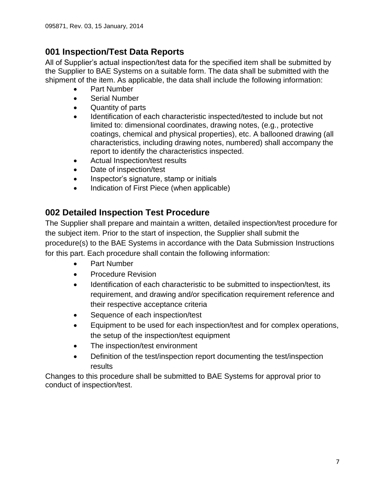# **001 Inspection/Test Data Reports**

All of Supplier's actual inspection/test data for the specified item shall be submitted by the Supplier to BAE Systems on a suitable form. The data shall be submitted with the shipment of the item. As applicable, the data shall include the following information:

- Part Number
- Serial Number
- Quantity of parts
- Identification of each characteristic inspected/tested to include but not limited to: dimensional coordinates, drawing notes, (e.g., protective coatings, chemical and physical properties), etc. A ballooned drawing (all characteristics, including drawing notes, numbered) shall accompany the report to identify the characteristics inspected.
- Actual Inspection/test results
- Date of inspection/test
- Inspector's signature, stamp or initials
- Indication of First Piece (when applicable)

# <span id="page-6-0"></span>**002 Detailed Inspection Test Procedure**

The Supplier shall prepare and maintain a written, detailed inspection/test procedure for the subject item. Prior to the start of inspection, the Supplier shall submit the procedure(s) to the BAE Systems in accordance with the Data Submission Instructions for this part. Each procedure shall contain the following information:

- Part Number
- Procedure Revision
- Identification of each characteristic to be submitted to inspection/test, its requirement, and drawing and/or specification requirement reference and their respective acceptance criteria
- Sequence of each inspection/test
- Equipment to be used for each inspection/test and for complex operations, the setup of the inspection/test equipment
- The inspection/test environment
- Definition of the test/inspection report documenting the test/inspection results

Changes to this procedure shall be submitted to BAE Systems for approval prior to conduct of inspection/test.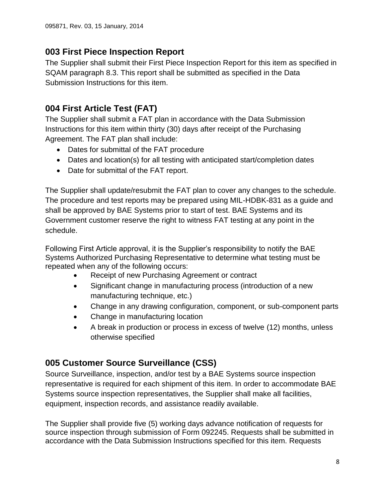# <span id="page-7-0"></span>**003 First Piece Inspection Report**

The Supplier shall submit their First Piece Inspection Report for this item as specified in SQAM paragraph 8.3. This report shall be submitted as specified in the Data Submission Instructions for this item.

# <span id="page-7-1"></span>**004 First Article Test (FAT)**

The Supplier shall submit a FAT plan in accordance with the Data Submission Instructions for this item within thirty (30) days after receipt of the Purchasing Agreement. The FAT plan shall include:

- Dates for submittal of the FAT procedure
- Dates and location(s) for all testing with anticipated start/completion dates
- Date for submittal of the FAT report.

The Supplier shall update/resubmit the FAT plan to cover any changes to the schedule. The procedure and test reports may be prepared using MIL-HDBK-831 as a guide and shall be approved by BAE Systems prior to start of test. BAE Systems and its Government customer reserve the right to witness FAT testing at any point in the schedule.

Following First Article approval, it is the Supplier's responsibility to notify the BAE Systems Authorized Purchasing Representative to determine what testing must be repeated when any of the following occurs:

- Receipt of new Purchasing Agreement or contract
- Significant change in manufacturing process (introduction of a new manufacturing technique, etc.)
- Change in any drawing configuration, component, or sub-component parts
- Change in manufacturing location
- A break in production or process in excess of twelve (12) months, unless otherwise specified

# <span id="page-7-2"></span>**005 Customer Source Surveillance (CSS)**

Source Surveillance, inspection, and/or test by a BAE Systems source inspection representative is required for each shipment of this item. In order to accommodate BAE Systems source inspection representatives, the Supplier shall make all facilities, equipment, inspection records, and assistance readily available.

The Supplier shall provide five (5) working days advance notification of requests for source inspection through submission of Form 092245. Requests shall be submitted in accordance with the Data Submission Instructions specified for this item. Requests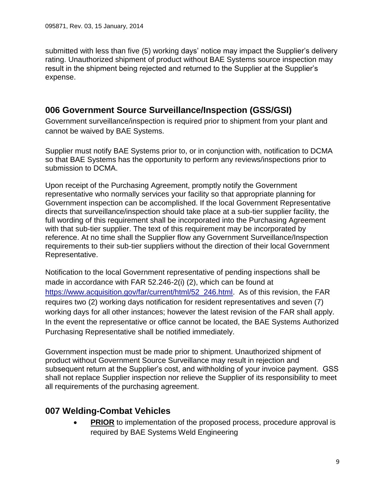submitted with less than five (5) working days' notice may impact the Supplier's delivery rating. Unauthorized shipment of product without BAE Systems source inspection may result in the shipment being rejected and returned to the Supplier at the Supplier's expense.

### <span id="page-8-0"></span>**006 Government Source Surveillance/Inspection (GSS/GSI)**

Government surveillance/inspection is required prior to shipment from your plant and cannot be waived by BAE Systems.

Supplier must notify BAE Systems prior to, or in conjunction with, notification to DCMA so that BAE Systems has the opportunity to perform any reviews/inspections prior to submission to DCMA.

Upon receipt of the Purchasing Agreement, promptly notify the Government representative who normally services your facility so that appropriate planning for Government inspection can be accomplished. If the local Government Representative directs that surveillance/inspection should take place at a sub-tier supplier facility, the full wording of this requirement shall be incorporated into the Purchasing Agreement with that sub-tier supplier. The text of this requirement may be incorporated by reference. At no time shall the Supplier flow any Government Surveillance/Inspection requirements to their sub-tier suppliers without the direction of their local Government Representative.

Notification to the local Government representative of pending inspections shall be made in accordance with FAR 52.246-2(i) (2), which can be found at [https://www.acquisition.gov/far/current/html/52\\_246.html.](https://www.acquisition.gov/far/current/html/52_246.html) As of this revision, the FAR requires two (2) working days notification for resident representatives and seven (7) working days for all other instances; however the latest revision of the FAR shall apply. In the event the representative or office cannot be located, the BAE Systems Authorized Purchasing Representative shall be notified immediately.

Government inspection must be made prior to shipment. Unauthorized shipment of product without Government Source Surveillance may result in rejection and subsequent return at the Supplier's cost, and withholding of your invoice payment. GSS shall not replace Supplier inspection nor relieve the Supplier of its responsibility to meet all requirements of the purchasing agreement.

### <span id="page-8-1"></span>**007 Welding-Combat Vehicles**

**PRIOR** to implementation of the proposed process, procedure approval is required by BAE Systems Weld Engineering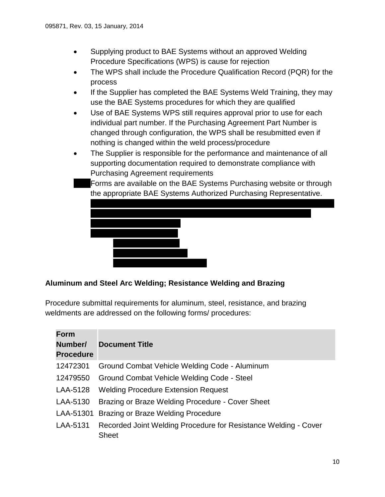- Supplying product to BAE Systems without an approved Welding Procedure Specifications (WPS) is cause for rejection
- The WPS shall include the Procedure Qualification Record (PQR) for the process
- If the Supplier has completed the BAE Systems Weld Training, they may use the BAE Systems procedures for which they are qualified
- Use of BAE Systems WPS still requires approval prior to use for each individual part number. If the Purchasing Agreement Part Number is changed through configuration, the WPS shall be resubmitted even if nothing is changed within the weld process/procedure
- The Supplier is responsible for the performance and maintenance of all supporting documentation required to demonstrate compliance with Purchasing Agreement requirements

 Forms are available on the BAE Systems Purchasing website or through the appropriate BAE Systems Authorized Purchasing Representative.



#### **Aluminum and Steel Arc Welding; Resistance Welding and Brazing**

Procedure submittal requirements for aluminum, steel, resistance, and brazing weldments are addressed on the following forms/ procedures:

| <b>Form</b><br>Number/<br><b>Procedure</b> | <b>Document Title</b>                                                           |
|--------------------------------------------|---------------------------------------------------------------------------------|
| 12472301                                   | Ground Combat Vehicle Welding Code - Aluminum                                   |
| 12479550                                   | Ground Combat Vehicle Welding Code - Steel                                      |
| LAA-5128                                   | <b>Welding Procedure Extension Request</b>                                      |
| LAA-5130                                   | Brazing or Braze Welding Procedure - Cover Sheet                                |
| LAA-51301                                  | Brazing or Braze Welding Procedure                                              |
| LAA-5131                                   | Recorded Joint Welding Procedure for Resistance Welding - Cover<br><b>Sheet</b> |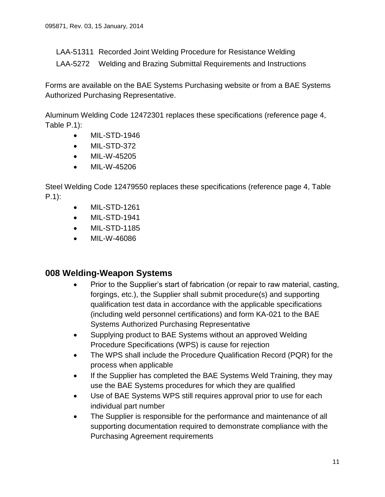LAA-51311 Recorded Joint Welding Procedure for Resistance Welding

LAA-5272 Welding and Brazing Submittal Requirements and Instructions

Forms are available on the BAE Systems Purchasing website or from a BAE Systems Authorized Purchasing Representative.

Aluminum Welding Code 12472301 replaces these specifications (reference page 4, Table P.1):

- MIL-STD-1946
- MIL-STD-372
- MIL-W-45205
- MIL-W-45206

Steel Welding Code 12479550 replaces these specifications (reference page 4, Table P.1):

- **MIL-STD-1261**
- MIL-STD-1941
- MIL-STD-1185
- MIL-W-46086

### <span id="page-10-0"></span>**008 Welding-Weapon Systems**

- Prior to the Supplier's start of fabrication (or repair to raw material, casting, forgings, etc.), the Supplier shall submit procedure(s) and supporting qualification test data in accordance with the applicable specifications (including weld personnel certifications) and form KA-021 to the BAE Systems Authorized Purchasing Representative
- Supplying product to BAE Systems without an approved Welding Procedure Specifications (WPS) is cause for rejection
- The WPS shall include the Procedure Qualification Record (PQR) for the process when applicable
- If the Supplier has completed the BAE Systems Weld Training, they may use the BAE Systems procedures for which they are qualified
- Use of BAE Systems WPS still requires approval prior to use for each individual part number
- The Supplier is responsible for the performance and maintenance of all supporting documentation required to demonstrate compliance with the Purchasing Agreement requirements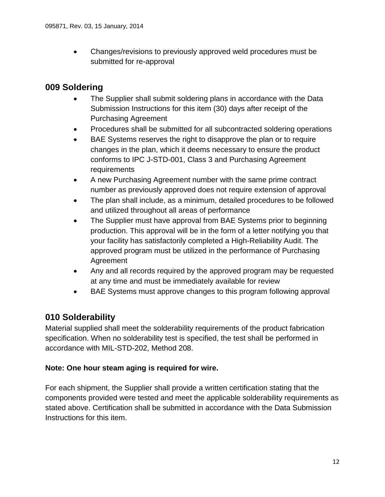• Changes/revisions to previously approved weld procedures must be submitted for re-approval

### <span id="page-11-0"></span>**009 Soldering**

- The Supplier shall submit soldering plans in accordance with the Data Submission Instructions for this item (30) days after receipt of the Purchasing Agreement
- Procedures shall be submitted for all subcontracted soldering operations
- BAE Systems reserves the right to disapprove the plan or to require changes in the plan, which it deems necessary to ensure the product conforms to IPC J-STD-001, Class 3 and Purchasing Agreement requirements
- A new Purchasing Agreement number with the same prime contract number as previously approved does not require extension of approval
- The plan shall include, as a minimum, detailed procedures to be followed and utilized throughout all areas of performance
- The Supplier must have approval from BAE Systems prior to beginning production. This approval will be in the form of a letter notifying you that your facility has satisfactorily completed a High-Reliability Audit. The approved program must be utilized in the performance of Purchasing Agreement
- Any and all records required by the approved program may be requested at any time and must be immediately available for review
- BAE Systems must approve changes to this program following approval

### <span id="page-11-1"></span>**010 Solderability**

Material supplied shall meet the solderability requirements of the product fabrication specification. When no solderability test is specified, the test shall be performed in accordance with MIL-STD-202, Method 208.

#### **Note: One hour steam aging is required for wire.**

For each shipment, the Supplier shall provide a written certification stating that the components provided were tested and meet the applicable solderability requirements as stated above. Certification shall be submitted in accordance with the Data Submission Instructions for this item.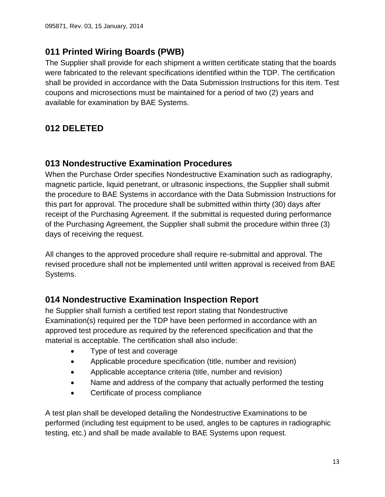### <span id="page-12-0"></span>**011 Printed Wiring Boards (PWB)**

The Supplier shall provide for each shipment a written certificate stating that the boards were fabricated to the relevant specifications identified within the TDP. The certification shall be provided in accordance with the Data Submission Instructions for this item. Test coupons and microsections must be maintained for a period of two (2) years and available for examination by BAE Systems.

# <span id="page-12-1"></span>**012 DELETED**

### <span id="page-12-2"></span>**013 Nondestructive Examination Procedures**

When the Purchase Order specifies Nondestructive Examination such as radiography, magnetic particle, liquid penetrant, or ultrasonic inspections, the Supplier shall submit the procedure to BAE Systems in accordance with the Data Submission Instructions for this part for approval. The procedure shall be submitted within thirty (30) days after receipt of the Purchasing Agreement. If the submittal is requested during performance of the Purchasing Agreement, the Supplier shall submit the procedure within three (3) days of receiving the request.

All changes to the approved procedure shall require re-submittal and approval. The revised procedure shall not be implemented until written approval is received from BAE Systems.

### <span id="page-12-3"></span>**014 Nondestructive Examination Inspection Report**

he Supplier shall furnish a certified test report stating that Nondestructive Examination(s) required per the TDP have been performed in accordance with an approved test procedure as required by the referenced specification and that the material is acceptable. The certification shall also include:

- Type of test and coverage
- Applicable procedure specification (title, number and revision)
- Applicable acceptance criteria (title, number and revision)
- Name and address of the company that actually performed the testing
- Certificate of process compliance

A test plan shall be developed detailing the Nondestructive Examinations to be performed (including test equipment to be used, angles to be captures in radiographic testing, etc.) and shall be made available to BAE Systems upon request.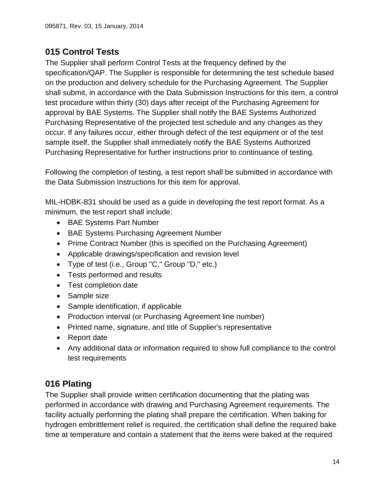# <span id="page-13-0"></span>**015 Control Tests**

The Supplier shall perform Control Tests at the frequency defined by the specification/QAP. The Supplier is responsible for determining the test schedule based on the production and delivery schedule for the Purchasing Agreement. The Supplier shall submit, in accordance with the Data Submission Instructions for this item, a control test procedure within thirty (30) days after receipt of the Purchasing Agreement for approval by BAE Systems. The Supplier shall notify the BAE Systems Authorized Purchasing Representative of the projected test schedule and any changes as they occur. If any failures occur, either through defect of the test equipment or of the test sample itself, the Supplier shall immediately notify the BAE Systems Authorized Purchasing Representative for further instructions prior to continuance of testing.

Following the completion of testing, a test report shall be submitted in accordance with the Data Submission Instructions for this item for approval.

MIL-HDBK-831 should be used as a guide in developing the test report format. As a minimum, the test report shall include:

- BAE Systems Part Number
- BAE Systems Purchasing Agreement Number
- Prime Contract Number (this is specified on the Purchasing Agreement)
- Applicable drawings/specification and revision level
- Type of test (i.e., Group "C," Group "D," etc.)
- Tests performed and results
- Test completion date
- Sample size
- Sample identification, if applicable
- Production interval (or Purchasing Agreement line number)
- Printed name, signature, and title of Supplier's representative
- Report date
- Any additional data or information required to show full compliance to the control test requirements

# <span id="page-13-1"></span>**016 Plating**

The Supplier shall provide written certification documenting that the plating was performed in accordance with drawing and Purchasing Agreement requirements. The facility actually performing the plating shall prepare the certification. When baking for hydrogen embrittlement relief is required, the certification shall define the required bake time at temperature and contain a statement that the items were baked at the required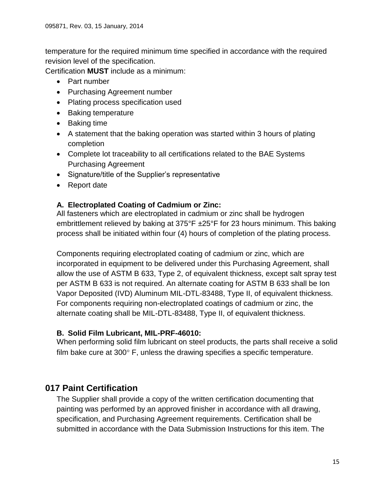temperature for the required minimum time specified in accordance with the required revision level of the specification.

Certification **MUST** include as a minimum:

- Part number
- Purchasing Agreement number
- Plating process specification used
- Baking temperature
- Baking time
- A statement that the baking operation was started within 3 hours of plating completion
- Complete lot traceability to all certifications related to the BAE Systems Purchasing Agreement
- Signature/title of the Supplier's representative
- Report date

#### <span id="page-14-0"></span>**A. Electroplated Coating of Cadmium or Zinc:**

All fasteners which are electroplated in cadmium or zinc shall be hydrogen embrittlement relieved by baking at 375°F ±25°F for 23 hours minimum. This baking process shall be initiated within four (4) hours of completion of the plating process.

Components requiring electroplated coating of cadmium or zinc, which are incorporated in equipment to be delivered under this Purchasing Agreement, shall allow the use of ASTM B 633, Type 2, of equivalent thickness, except salt spray test per ASTM B 633 is not required. An alternate coating for ASTM B 633 shall be Ion Vapor Deposited (IVD) Aluminum MIL-DTL-83488, Type II, of equivalent thickness. For components requiring non-electroplated coatings of cadmium or zinc, the alternate coating shall be MIL-DTL-83488, Type II, of equivalent thickness.

#### <span id="page-14-1"></span>**B. Solid Film Lubricant, MIL-PRF-46010:**

When performing solid film lubricant on steel products, the parts shall receive a solid film bake cure at  $300^\circ$  F, unless the drawing specifies a specific temperature.

### <span id="page-14-2"></span>**017 Paint Certification**

The Supplier shall provide a copy of the written certification documenting that painting was performed by an approved finisher in accordance with all drawing, specification, and Purchasing Agreement requirements. Certification shall be submitted in accordance with the Data Submission Instructions for this item. The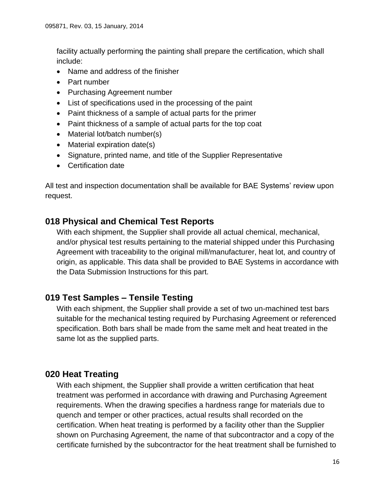facility actually performing the painting shall prepare the certification, which shall include:

- Name and address of the finisher
- Part number
- Purchasing Agreement number
- List of specifications used in the processing of the paint
- Paint thickness of a sample of actual parts for the primer
- Paint thickness of a sample of actual parts for the top coat
- Material lot/batch number(s)
- Material expiration date(s)
- Signature, printed name, and title of the Supplier Representative
- Certification date

All test and inspection documentation shall be available for BAE Systems' review upon request.

### <span id="page-15-0"></span>**018 Physical and Chemical Test Reports**

With each shipment, the Supplier shall provide all actual chemical, mechanical, and/or physical test results pertaining to the material shipped under this Purchasing Agreement with traceability to the original mill/manufacturer, heat lot, and country of origin, as applicable. This data shall be provided to BAE Systems in accordance with the Data Submission Instructions for this part.

### <span id="page-15-1"></span>**019 Test Samples – Tensile Testing**

With each shipment, the Supplier shall provide a set of two un-machined test bars suitable for the mechanical testing required by Purchasing Agreement or referenced specification. Both bars shall be made from the same melt and heat treated in the same lot as the supplied parts.

### <span id="page-15-2"></span>**020 Heat Treating**

With each shipment, the Supplier shall provide a written certification that heat treatment was performed in accordance with drawing and Purchasing Agreement requirements. When the drawing specifies a hardness range for materials due to quench and temper or other practices, actual results shall recorded on the certification. When heat treating is performed by a facility other than the Supplier shown on Purchasing Agreement, the name of that subcontractor and a copy of the certificate furnished by the subcontractor for the heat treatment shall be furnished to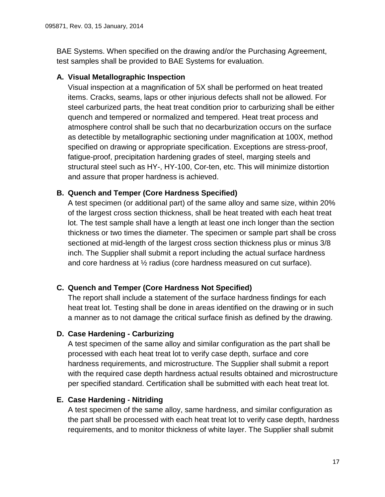BAE Systems. When specified on the drawing and/or the Purchasing Agreement, test samples shall be provided to BAE Systems for evaluation.

#### <span id="page-16-0"></span>**A. Visual Metallographic Inspection**

Visual inspection at a magnification of 5X shall be performed on heat treated items. Cracks, seams, laps or other injurious defects shall not be allowed. For steel carburized parts, the heat treat condition prior to carburizing shall be either quench and tempered or normalized and tempered. Heat treat process and atmosphere control shall be such that no decarburization occurs on the surface as detectible by metallographic sectioning under magnification at 100X, method specified on drawing or appropriate specification. Exceptions are stress-proof, fatigue-proof, precipitation hardening grades of steel, marging steels and structural steel such as HY-, HY-100, Cor-ten, etc. This will minimize distortion and assure that proper hardness is achieved.

#### <span id="page-16-1"></span>**B. Quench and Temper (Core Hardness Specified)**

A test specimen (or additional part) of the same alloy and same size, within 20% of the largest cross section thickness, shall be heat treated with each heat treat lot. The test sample shall have a length at least one inch longer than the section thickness or two times the diameter. The specimen or sample part shall be cross sectioned at mid-length of the largest cross section thickness plus or minus 3/8 inch. The Supplier shall submit a report including the actual surface hardness and core hardness at ½ radius (core hardness measured on cut surface).

#### <span id="page-16-2"></span>**C. Quench and Temper (Core Hardness Not Specified)**

The report shall include a statement of the surface hardness findings for each heat treat lot. Testing shall be done in areas identified on the drawing or in such a manner as to not damage the critical surface finish as defined by the drawing.

#### <span id="page-16-3"></span>**D. Case Hardening - Carburizing**

A test specimen of the same alloy and similar configuration as the part shall be processed with each heat treat lot to verify case depth, surface and core hardness requirements, and microstructure. The Supplier shall submit a report with the required case depth hardness actual results obtained and microstructure per specified standard. Certification shall be submitted with each heat treat lot.

#### <span id="page-16-4"></span>**E. Case Hardening - Nitriding**

A test specimen of the same alloy, same hardness, and similar configuration as the part shall be processed with each heat treat lot to verify case depth, hardness requirements, and to monitor thickness of white layer. The Supplier shall submit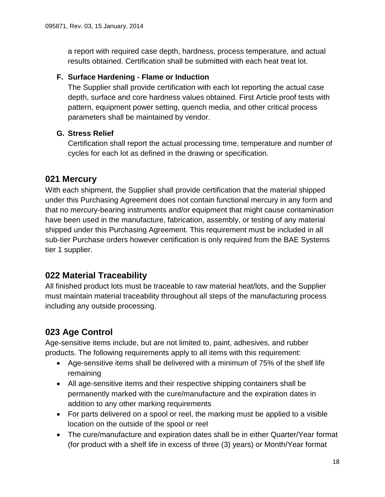a report with required case depth, hardness, process temperature, and actual results obtained. Certification shall be submitted with each heat treat lot.

#### <span id="page-17-0"></span>**F. Surface Hardening - Flame or Induction**

The Supplier shall provide certification with each lot reporting the actual case depth, surface and core hardness values obtained. First Article proof tests with pattern, equipment power setting, quench media, and other critical process parameters shall be maintained by vendor.

#### <span id="page-17-1"></span>**G. Stress Relief**

Certification shall report the actual processing time, temperature and number of cycles for each lot as defined in the drawing or specification.

### <span id="page-17-2"></span>**021 Mercury**

With each shipment, the Supplier shall provide certification that the material shipped under this Purchasing Agreement does not contain functional mercury in any form and that no mercury-bearing instruments and/or equipment that might cause contamination have been used in the manufacture, fabrication, assembly, or testing of any material shipped under this Purchasing Agreement. This requirement must be included in all sub-tier Purchase orders however certification is only required from the BAE Systems tier 1 supplier.

### <span id="page-17-3"></span>**022 Material Traceability**

All finished product lots must be traceable to raw material heat/lots, and the Supplier must maintain material traceability throughout all steps of the manufacturing process including any outside processing.

# <span id="page-17-4"></span>**023 Age Control**

Age-sensitive items include, but are not limited to, paint, adhesives, and rubber products. The following requirements apply to all items with this requirement:

- Age-sensitive items shall be delivered with a minimum of 75% of the shelf life remaining
- All age-sensitive items and their respective shipping containers shall be permanently marked with the cure/manufacture and the expiration dates in addition to any other marking requirements
- For parts delivered on a spool or reel, the marking must be applied to a visible location on the outside of the spool or reel
- The cure/manufacture and expiration dates shall be in either Quarter/Year format (for product with a shelf life in excess of three (3) years) or Month/Year format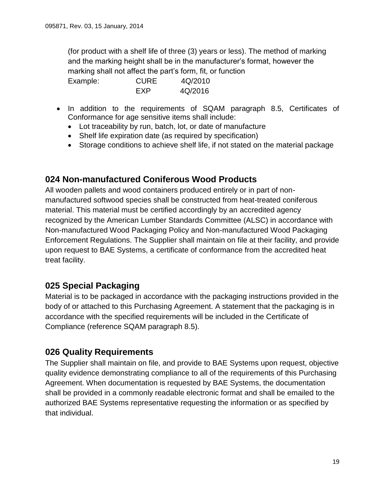(for product with a shelf life of three (3) years or less). The method of marking and the marking height shall be in the manufacturer's format, however the marking shall not affect the part's form, fit, or function

Example: CURE 4Q/2010 EXP 4Q/2016

- In addition to the requirements of SQAM paragraph 8.5, Certificates of Conformance for age sensitive items shall include:
	- Lot traceability by run, batch, lot, or date of manufacture
	- Shelf life expiration date (as required by specification)
	- Storage conditions to achieve shelf life, if not stated on the material package

# <span id="page-18-0"></span>**024 Non-manufactured Coniferous Wood Products**

All wooden pallets and wood containers produced entirely or in part of nonmanufactured softwood species shall be constructed from heat-treated coniferous material. This material must be certified accordingly by an accredited agency recognized by the American Lumber Standards Committee (ALSC) in accordance with Non-manufactured Wood Packaging Policy and Non-manufactured Wood Packaging Enforcement Regulations. The Supplier shall maintain on file at their facility, and provide upon request to BAE Systems, a certificate of conformance from the accredited heat treat facility.

# <span id="page-18-1"></span>**025 Special Packaging**

Material is to be packaged in accordance with the packaging instructions provided in the body of or attached to this Purchasing Agreement. A statement that the packaging is in accordance with the specified requirements will be included in the Certificate of Compliance (reference SQAM paragraph 8.5).

### <span id="page-18-2"></span>**026 Quality Requirements**

The Supplier shall maintain on file, and provide to BAE Systems upon request, objective quality evidence demonstrating compliance to all of the requirements of this Purchasing Agreement. When documentation is requested by BAE Systems, the documentation shall be provided in a commonly readable electronic format and shall be emailed to the authorized BAE Systems representative requesting the information or as specified by that individual.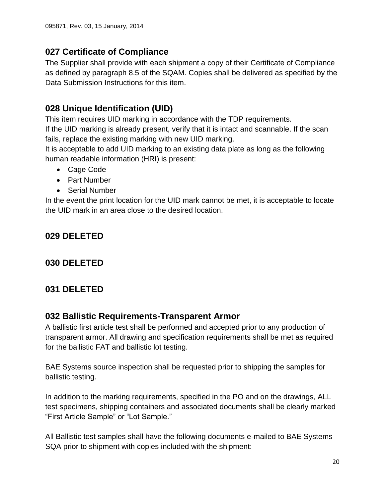# <span id="page-19-0"></span>**027 Certificate of Compliance**

The Supplier shall provide with each shipment a copy of their Certificate of Compliance as defined by paragraph 8.5 of the SQAM. Copies shall be delivered as specified by the Data Submission Instructions for this item.

# <span id="page-19-1"></span>**028 Unique Identification (UID)**

This item requires UID marking in accordance with the TDP requirements.

If the UID marking is already present, verify that it is intact and scannable. If the scan fails, replace the existing marking with new UID marking.

It is acceptable to add UID marking to an existing data plate as long as the following human readable information (HRI) is present:

- Cage Code
- Part Number
- Serial Number

In the event the print location for the UID mark cannot be met, it is acceptable to locate the UID mark in an area close to the desired location.

# <span id="page-19-3"></span><span id="page-19-2"></span>**029 DELETED**

# <span id="page-19-4"></span>**030 DELETED**

# <span id="page-19-5"></span>**031 DELETED**

# **032 Ballistic Requirements-Transparent Armor**

A ballistic first article test shall be performed and accepted prior to any production of transparent armor. All drawing and specification requirements shall be met as required for the ballistic FAT and ballistic lot testing.

BAE Systems source inspection shall be requested prior to shipping the samples for ballistic testing.

In addition to the marking requirements, specified in the PO and on the drawings, ALL test specimens, shipping containers and associated documents shall be clearly marked "First Article Sample" or "Lot Sample."

All Ballistic test samples shall have the following documents e-mailed to BAE Systems SQA prior to shipment with copies included with the shipment: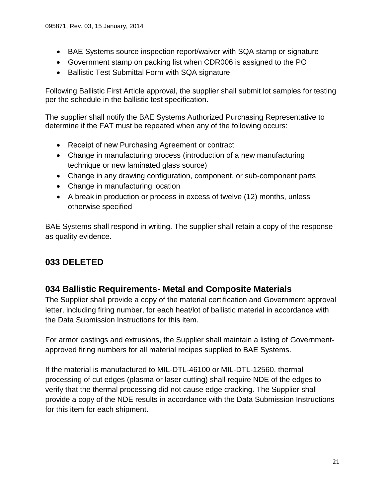- BAE Systems source inspection report/waiver with SQA stamp or signature
- Government stamp on packing list when CDR006 is assigned to the PO
- Ballistic Test Submittal Form with SQA signature

Following Ballistic First Article approval, the supplier shall submit lot samples for testing per the schedule in the ballistic test specification.

The supplier shall notify the BAE Systems Authorized Purchasing Representative to determine if the FAT must be repeated when any of the following occurs:

- Receipt of new Purchasing Agreement or contract
- Change in manufacturing process (introduction of a new manufacturing technique or new laminated glass source)
- Change in any drawing configuration, component, or sub-component parts
- Change in manufacturing location
- A break in production or process in excess of twelve (12) months, unless otherwise specified

BAE Systems shall respond in writing. The supplier shall retain a copy of the response as quality evidence.

# <span id="page-20-1"></span><span id="page-20-0"></span>**033 DELETED**

### **034 Ballistic Requirements- Metal and Composite Materials**

The Supplier shall provide a copy of the material certification and Government approval letter, including firing number, for each heat/lot of ballistic material in accordance with the Data Submission Instructions for this item.

For armor castings and extrusions, the Supplier shall maintain a listing of Governmentapproved firing numbers for all material recipes supplied to BAE Systems.

If the material is manufactured to MIL-DTL-46100 or MIL-DTL-12560, thermal processing of cut edges (plasma or laser cutting) shall require NDE of the edges to verify that the thermal processing did not cause edge cracking. The Supplier shall provide a copy of the NDE results in accordance with the Data Submission Instructions for this item for each shipment.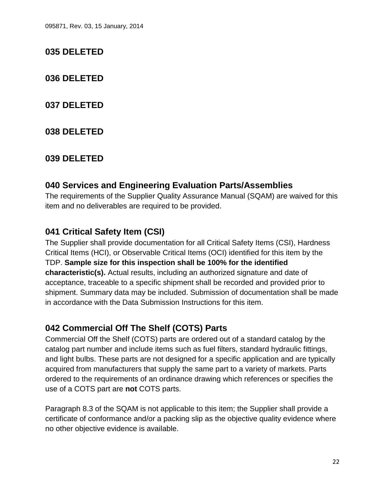### <span id="page-21-1"></span><span id="page-21-0"></span>**035 DELETED**

<span id="page-21-2"></span>**036 DELETED**

<span id="page-21-3"></span>**037 DELETED**

<span id="page-21-4"></span>**038 DELETED**

<span id="page-21-5"></span>**039 DELETED**

# **040 Services and Engineering Evaluation Parts/Assemblies**

The requirements of the Supplier Quality Assurance Manual (SQAM) are waived for this item and no deliverables are required to be provided.

# <span id="page-21-6"></span>**041 Critical Safety Item (CSI)**

The Supplier shall provide documentation for all Critical Safety Items (CSI), Hardness Critical Items (HCI), or Observable Critical Items (OCI) identified for this item by the TDP. **Sample size for this inspection shall be 100% for the identified characteristic(s).** Actual results, including an authorized signature and date of acceptance, traceable to a specific shipment shall be recorded and provided prior to shipment. Summary data may be included. Submission of documentation shall be made in accordance with the Data Submission Instructions for this item.

# <span id="page-21-7"></span>**042 Commercial Off The Shelf (COTS) Parts**

Commercial Off the Shelf (COTS) parts are ordered out of a standard catalog by the catalog part number and include items such as fuel filters, standard hydraulic fittings, and light bulbs. These parts are not designed for a specific application and are typically acquired from manufacturers that supply the same part to a variety of markets. Parts ordered to the requirements of an ordinance drawing which references or specifies the use of a COTS part are **not** COTS parts.

Paragraph 8.3 of the SQAM is not applicable to this item; the Supplier shall provide a certificate of conformance and/or a packing slip as the objective quality evidence where no other objective evidence is available.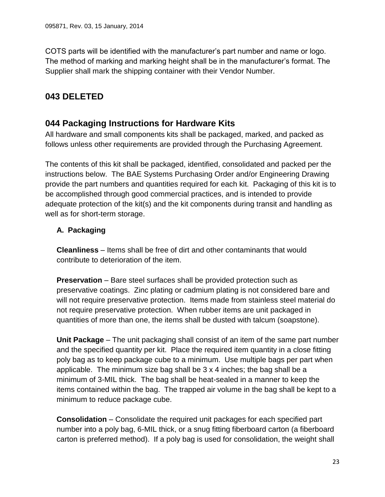COTS parts will be identified with the manufacturer's part number and name or logo. The method of marking and marking height shall be in the manufacturer's format. The Supplier shall mark the shipping container with their Vendor Number.

# <span id="page-22-1"></span><span id="page-22-0"></span>**043 DELETED**

### **044 Packaging Instructions for Hardware Kits**

All hardware and small components kits shall be packaged, marked, and packed as follows unless other requirements are provided through the Purchasing Agreement.

The contents of this kit shall be packaged, identified, consolidated and packed per the instructions below. The BAE Systems Purchasing Order and/or Engineering Drawing provide the part numbers and quantities required for each kit. Packaging of this kit is to be accomplished through good commercial practices, and is intended to provide adequate protection of the kit(s) and the kit components during transit and handling as well as for short-term storage.

#### <span id="page-22-2"></span>**A. Packaging**

**Cleanliness** – Items shall be free of dirt and other contaminants that would contribute to deterioration of the item.

**Preservation** – Bare steel surfaces shall be provided protection such as preservative coatings. Zinc plating or cadmium plating is not considered bare and will not require preservative protection. Items made from stainless steel material do not require preservative protection. When rubber items are unit packaged in quantities of more than one, the items shall be dusted with talcum (soapstone).

**Unit Package** – The unit packaging shall consist of an item of the same part number and the specified quantity per kit. Place the required item quantity in a close fitting poly bag as to keep package cube to a minimum. Use multiple bags per part when applicable. The minimum size bag shall be 3 x 4 inches; the bag shall be a minimum of 3-MIL thick. The bag shall be heat-sealed in a manner to keep the items contained within the bag. The trapped air volume in the bag shall be kept to a minimum to reduce package cube.

**Consolidation** – Consolidate the required unit packages for each specified part number into a poly bag, 6-MIL thick, or a snug fitting fiberboard carton (a fiberboard carton is preferred method). If a poly bag is used for consolidation, the weight shall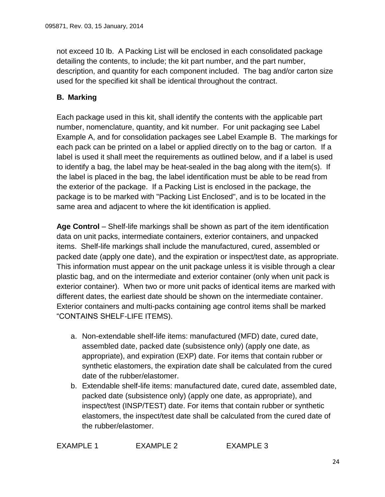not exceed 10 lb. A Packing List will be enclosed in each consolidated package detailing the contents, to include; the kit part number, and the part number, description, and quantity for each component included. The bag and/or carton size used for the specified kit shall be identical throughout the contract.

#### <span id="page-23-0"></span>**B. Marking**

Each package used in this kit, shall identify the contents with the applicable part number, nomenclature, quantity, and kit number. For unit packaging see Label Example A, and for consolidation packages see Label Example B. The markings for each pack can be printed on a label or applied directly on to the bag or carton. If a label is used it shall meet the requirements as outlined below, and if a label is used to identify a bag, the label may be heat-sealed in the bag along with the item(s). If the label is placed in the bag, the label identification must be able to be read from the exterior of the package. If a Packing List is enclosed in the package, the package is to be marked with "Packing List Enclosed", and is to be located in the same area and adjacent to where the kit identification is applied.

**Age Control** – Shelf-life markings shall be shown as part of the item identification data on unit packs, intermediate containers, exterior containers, and unpacked items. Shelf-life markings shall include the manufactured, cured, assembled or packed date (apply one date), and the expiration or inspect/test date, as appropriate. This information must appear on the unit package unless it is visible through a clear plastic bag, and on the intermediate and exterior container (only when unit pack is exterior container). When two or more unit packs of identical items are marked with different dates, the earliest date should be shown on the intermediate container. Exterior containers and multi-packs containing age control items shall be marked "CONTAINS SHELF-LIFE ITEMS).

- a. Non-extendable shelf-life items: manufactured (MFD) date, cured date, assembled date, packed date (subsistence only) (apply one date, as appropriate), and expiration (EXP) date. For items that contain rubber or synthetic elastomers, the expiration date shall be calculated from the cured date of the rubber/elastomer.
- b. Extendable shelf-life items: manufactured date, cured date, assembled date, packed date (subsistence only) (apply one date, as appropriate), and inspect/test (INSP/TEST) date. For items that contain rubber or synthetic elastomers, the inspect/test date shall be calculated from the cured date of the rubber/elastomer.

EXAMPLE 1 EXAMPLE 2 EXAMPLE 3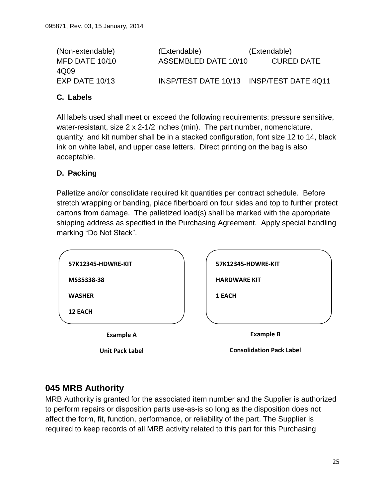(Non-extendable) (Extendable) (Extendable) MFD DATE 10/10 ASSEMBLED DATE 10/10 CURED DATE 4Q09 EXP DATE 10/13 INSP/TEST DATE 10/13 INSP/TEST DATE 4Q11

#### <span id="page-24-0"></span>**C. Labels**

All labels used shall meet or exceed the following requirements: pressure sensitive, water-resistant, size 2 x 2-1/2 inches (min). The part number, nomenclature, quantity, and kit number shall be in a stacked configuration, font size 12 to 14, black ink on white label, and upper case letters. Direct printing on the bag is also acceptable.

#### <span id="page-24-1"></span>**D. Packing**

Palletize and/or consolidate required kit quantities per contract schedule. Before stretch wrapping or banding, place fiberboard on four sides and top to further protect cartons from damage. The palletized load(s) shall be marked with the appropriate shipping address as specified in the Purchasing Agreement. Apply special handling marking "Do Not Stack".

| <b>12 EACH</b>     |                     |  |
|--------------------|---------------------|--|
| <b>WASHER</b>      | 1 EACH              |  |
| MS35338-38         | <b>HARDWARE KIT</b> |  |
| 57K12345-HDWRE-KIT | 57K12345-HDWRE-KIT  |  |

**Unit Pack Label**

**Consolidation Pack Label**

# <span id="page-24-2"></span>**045 MRB Authority**

MRB Authority is granted for the associated item number and the Supplier is authorized to perform repairs or disposition parts use-as-is so long as the disposition does not affect the form, fit, function, performance, or reliability of the part. The Supplier is required to keep records of all MRB activity related to this part for this Purchasing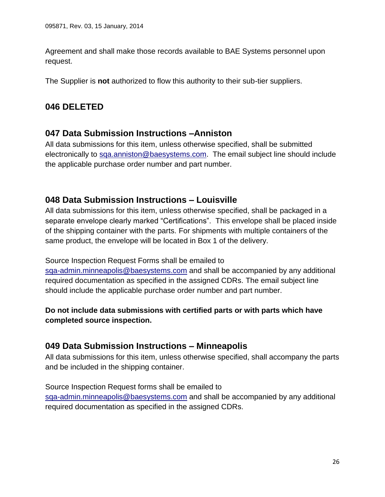Agreement and shall make those records available to BAE Systems personnel upon request.

<span id="page-25-0"></span>The Supplier is **not** authorized to flow this authority to their sub-tier suppliers.

# <span id="page-25-1"></span>**046 DELETED**

### **047 Data Submission Instructions –Anniston**

All data submissions for this item, unless otherwise specified, shall be submitted electronically to [sqa.anniston@baesystems.com.](mailto:sqa.anniston@baesystems.com) The email subject line should include the applicable purchase order number and part number.

# <span id="page-25-2"></span>**048 Data Submission Instructions – Louisville**

All data submissions for this item, unless otherwise specified, shall be packaged in a separate envelope clearly marked "Certifications". This envelope shall be placed inside of the shipping container with the parts. For shipments with multiple containers of the same product, the envelope will be located in Box 1 of the delivery.

Source Inspection Request Forms shall be emailed to

[sqa-admin.minneapolis@baesystems.com](mailto:sqa-admin.minneapolis@baesystems.com) and shall be accompanied by any additional required documentation as specified in the assigned CDRs. The email subject line should include the applicable purchase order number and part number.

### **Do not include data submissions with certified parts or with parts which have completed source inspection.**

# <span id="page-25-3"></span>**049 Data Submission Instructions – Minneapolis**

All data submissions for this item, unless otherwise specified, shall accompany the parts and be included in the shipping container.

# Source Inspection Request forms shall be emailed to

[sqa-admin.minneapolis@baesystems.com](mailto:sqa-admin.minneapolis@baesystems.com) and shall be accompanied by any additional required documentation as specified in the assigned CDRs.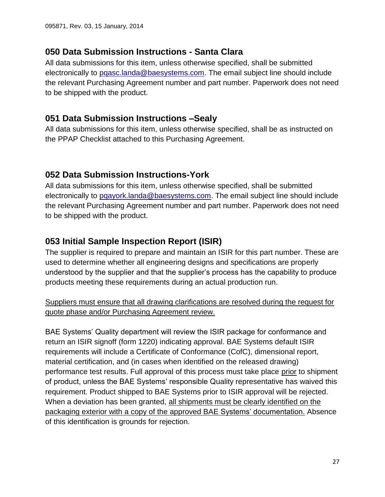### <span id="page-26-0"></span>**050 Data Submission Instructions - Santa Clara**

All data submissions for this item, unless otherwise specified, shall be submitted electronically to [pqasc.landa@baesystems.com.](mailto:pqasc.landa@baesystems.com) The email subject line should include the relevant Purchasing Agreement number and part number. Paperwork does not need to be shipped with the product.

### <span id="page-26-1"></span>**051 Data Submission Instructions –Sealy**

All data submissions for this item, unless otherwise specified, shall be as instructed on the PPAP Checklist attached to this Purchasing Agreement.

# <span id="page-26-2"></span>**052 Data Submission Instructions-York**

All data submissions for this item, unless otherwise specified, shall be submitted electronically to [pqayork.landa@baesystems.com.](mailto:pqayork.landa@baesystems.com) The email subject line should include the relevant Purchasing Agreement number and part number. Paperwork does not need to be shipped with the product.

# <span id="page-26-3"></span>**053 Initial Sample Inspection Report (ISIR)**

The supplier is required to prepare and maintain an ISIR for this part number. These are used to determine whether all engineering designs and specifications are properly understood by the supplier and that the supplier's process has the capability to produce products meeting these requirements during an actual production run.

Suppliers must ensure that all drawing clarifications are resolved during the request for quote phase and/or Purchasing Agreement review.

BAE Systems' Quality department will review the ISIR package for conformance and return an ISIR signoff (form 1220) indicating approval. BAE Systems default ISIR requirements will include a Certificate of Conformance (CofC), dimensional report, material certification, and (in cases when identified on the released drawing) performance test results. Full approval of this process must take place prior to shipment of product, unless the BAE Systems' responsible Quality representative has waived this requirement. Product shipped to BAE Systems prior to ISIR approval will be rejected. When a deviation has been granted, all shipments must be clearly identified on the packaging exterior with a copy of the approved BAE Systems' documentation. Absence of this identification is grounds for rejection.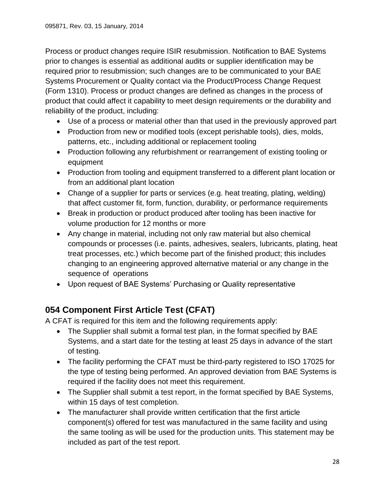Process or product changes require ISIR resubmission. Notification to BAE Systems prior to changes is essential as additional audits or supplier identification may be required prior to resubmission; such changes are to be communicated to your BAE Systems Procurement or Quality contact via the Product/Process Change Request (Form 1310). Process or product changes are defined as changes in the process of product that could affect it capability to meet design requirements or the durability and reliability of the product, including:

- Use of a process or material other than that used in the previously approved part
- Production from new or modified tools (except perishable tools), dies, molds, patterns, etc., including additional or replacement tooling
- Production following any refurbishment or rearrangement of existing tooling or equipment
- Production from tooling and equipment transferred to a different plant location or from an additional plant location
- Change of a supplier for parts or services (e.g. heat treating, plating, welding) that affect customer fit, form, function, durability, or performance requirements
- Break in production or product produced after tooling has been inactive for volume production for 12 months or more
- Any change in material, including not only raw material but also chemical compounds or processes (i.e. paints, adhesives, sealers, lubricants, plating, heat treat processes, etc.) which become part of the finished product; this includes changing to an engineering approved alternative material or any change in the sequence of operations
- Upon request of BAE Systems' Purchasing or Quality representative

# <span id="page-27-0"></span>**054 Component First Article Test (CFAT)**

A CFAT is required for this item and the following requirements apply:

- The Supplier shall submit a formal test plan, in the format specified by BAE Systems, and a start date for the testing at least 25 days in advance of the start of testing.
- The facility performing the CFAT must be third-party registered to ISO 17025 for the type of testing being performed. An approved deviation from BAE Systems is required if the facility does not meet this requirement.
- The Supplier shall submit a test report, in the format specified by BAE Systems, within 15 days of test completion.
- The manufacturer shall provide written certification that the first article component(s) offered for test was manufactured in the same facility and using the same tooling as will be used for the production units. This statement may be included as part of the test report.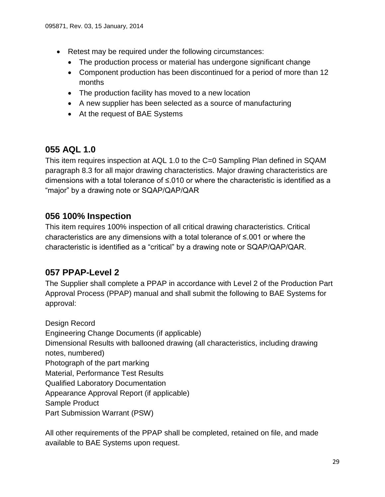- Retest may be required under the following circumstances:
	- The production process or material has undergone significant change
	- Component production has been discontinued for a period of more than 12 months
	- The production facility has moved to a new location
	- A new supplier has been selected as a source of manufacturing
	- At the request of BAE Systems

### <span id="page-28-0"></span>**055 AQL 1.0**

This item requires inspection at AQL 1.0 to the C=0 Sampling Plan defined in SQAM paragraph 8.3 for all major drawing characteristics. Major drawing characteristics are dimensions with a total tolerance of ≤.010 or where the characteristic is identified as a "major" by a drawing note or SQAP/QAP/QAR

### <span id="page-28-1"></span>**056 100% Inspection**

This item requires 100% inspection of all critical drawing characteristics. Critical characteristics are any dimensions with a total tolerance of ≤.001 or where the characteristic is identified as a "critical" by a drawing note or SQAP/QAP/QAR.

### <span id="page-28-2"></span>**057 PPAP-Level 2**

The Supplier shall complete a PPAP in accordance with Level 2 of the Production Part Approval Process (PPAP) manual and shall submit the following to BAE Systems for approval:

Design Record Engineering Change Documents (if applicable) Dimensional Results with ballooned drawing (all characteristics, including drawing notes, numbered) Photograph of the part marking Material, Performance Test Results Qualified Laboratory Documentation Appearance Approval Report (if applicable) Sample Product Part Submission Warrant (PSW)

All other requirements of the PPAP shall be completed, retained on file, and made available to BAE Systems upon request.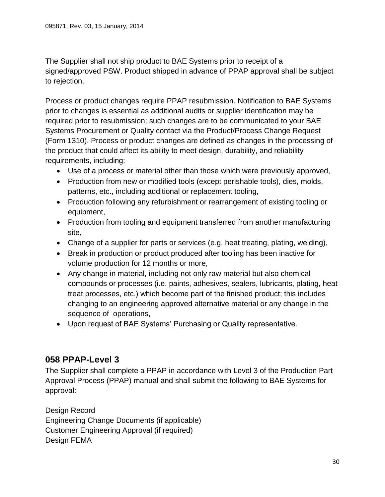The Supplier shall not ship product to BAE Systems prior to receipt of a signed/approved PSW. Product shipped in advance of PPAP approval shall be subject to rejection.

Process or product changes require PPAP resubmission. Notification to BAE Systems prior to changes is essential as additional audits or supplier identification may be required prior to resubmission; such changes are to be communicated to your BAE Systems Procurement or Quality contact via the Product/Process Change Request (Form 1310). Process or product changes are defined as changes in the processing of the product that could affect its ability to meet design, durability, and reliability requirements, including:

- Use of a process or material other than those which were previously approved,
- Production from new or modified tools (except perishable tools), dies, molds, patterns, etc., including additional or replacement tooling,
- Production following any refurbishment or rearrangement of existing tooling or equipment,
- Production from tooling and equipment transferred from another manufacturing site,
- Change of a supplier for parts or services (e.g. heat treating, plating, welding),
- Break in production or product produced after tooling has been inactive for volume production for 12 months or more,
- Any change in material, including not only raw material but also chemical compounds or processes (i.e. paints, adhesives, sealers, lubricants, plating, heat treat processes, etc.) which become part of the finished product; this includes changing to an engineering approved alternative material or any change in the sequence of operations,
- Upon request of BAE Systems' Purchasing or Quality representative.

### <span id="page-29-0"></span>**058 PPAP-Level 3**

The Supplier shall complete a PPAP in accordance with Level 3 of the Production Part Approval Process (PPAP) manual and shall submit the following to BAE Systems for approval:

Design Record Engineering Change Documents (if applicable) Customer Engineering Approval (if required) Design FEMA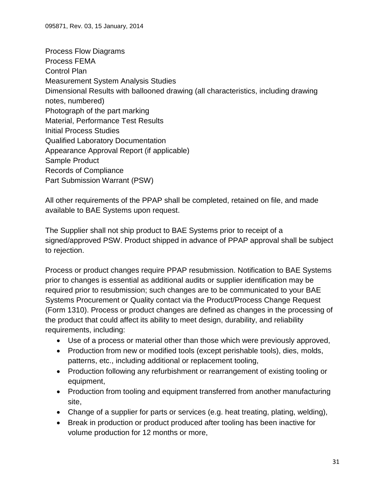Process Flow Diagrams Process FEMA Control Plan Measurement System Analysis Studies Dimensional Results with ballooned drawing (all characteristics, including drawing notes, numbered) Photograph of the part marking Material, Performance Test Results Initial Process Studies Qualified Laboratory Documentation Appearance Approval Report (if applicable) Sample Product Records of Compliance Part Submission Warrant (PSW)

All other requirements of the PPAP shall be completed, retained on file, and made available to BAE Systems upon request.

The Supplier shall not ship product to BAE Systems prior to receipt of a signed/approved PSW. Product shipped in advance of PPAP approval shall be subject to rejection.

Process or product changes require PPAP resubmission. Notification to BAE Systems prior to changes is essential as additional audits or supplier identification may be required prior to resubmission; such changes are to be communicated to your BAE Systems Procurement or Quality contact via the Product/Process Change Request (Form 1310). Process or product changes are defined as changes in the processing of the product that could affect its ability to meet design, durability, and reliability requirements, including:

- Use of a process or material other than those which were previously approved,
- Production from new or modified tools (except perishable tools), dies, molds, patterns, etc., including additional or replacement tooling,
- Production following any refurbishment or rearrangement of existing tooling or equipment,
- Production from tooling and equipment transferred from another manufacturing site,
- Change of a supplier for parts or services (e.g. heat treating, plating, welding),
- Break in production or product produced after tooling has been inactive for volume production for 12 months or more,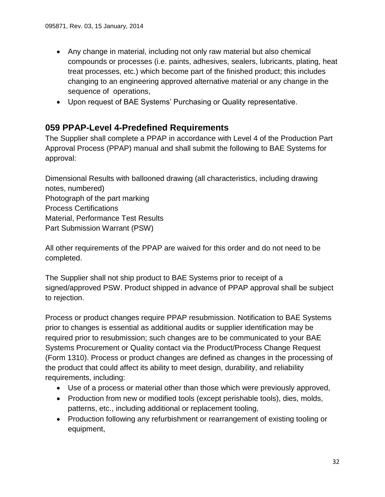- Any change in material, including not only raw material but also chemical compounds or processes (i.e. paints, adhesives, sealers, lubricants, plating, heat treat processes, etc.) which become part of the finished product; this includes changing to an engineering approved alternative material or any change in the sequence of operations,
- Upon request of BAE Systems' Purchasing or Quality representative.

# <span id="page-31-0"></span>**059 PPAP-Level 4-Predefined Requirements**

The Supplier shall complete a PPAP in accordance with Level 4 of the Production Part Approval Process (PPAP) manual and shall submit the following to BAE Systems for approval:

Dimensional Results with ballooned drawing (all characteristics, including drawing notes, numbered) Photograph of the part marking Process Certifications Material, Performance Test Results Part Submission Warrant (PSW)

All other requirements of the PPAP are waived for this order and do not need to be completed.

The Supplier shall not ship product to BAE Systems prior to receipt of a signed/approved PSW. Product shipped in advance of PPAP approval shall be subject to rejection.

Process or product changes require PPAP resubmission. Notification to BAE Systems prior to changes is essential as additional audits or supplier identification may be required prior to resubmission; such changes are to be communicated to your BAE Systems Procurement or Quality contact via the Product/Process Change Request (Form 1310). Process or product changes are defined as changes in the processing of the product that could affect its ability to meet design, durability, and reliability requirements, including:

- Use of a process or material other than those which were previously approved,
- Production from new or modified tools (except perishable tools), dies, molds, patterns, etc., including additional or replacement tooling,
- Production following any refurbishment or rearrangement of existing tooling or equipment,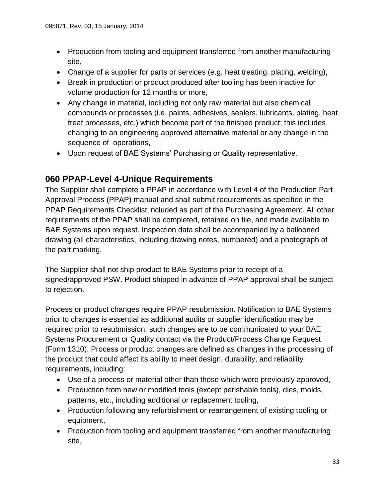- Production from tooling and equipment transferred from another manufacturing site,
- Change of a supplier for parts or services (e.g. heat treating, plating, welding),
- Break in production or product produced after tooling has been inactive for volume production for 12 months or more,
- Any change in material, including not only raw material but also chemical compounds or processes (i.e. paints, adhesives, sealers, lubricants, plating, heat treat processes, etc.) which become part of the finished product; this includes changing to an engineering approved alternative material or any change in the sequence of operations,
- Upon request of BAE Systems' Purchasing or Quality representative.

# <span id="page-32-0"></span>**060 PPAP-Level 4-Unique Requirements**

The Supplier shall complete a PPAP in accordance with Level 4 of the Production Part Approval Process (PPAP) manual and shall submit requirements as specified in the PPAP Requirements Checklist included as part of the Purchasing Agreement. All other requirements of the PPAP shall be completed, retained on file, and made available to BAE Systems upon request. Inspection data shall be accompanied by a ballooned drawing (all characteristics, including drawing notes, numbered) and a photograph of the part marking.

The Supplier shall not ship product to BAE Systems prior to receipt of a signed/approved PSW. Product shipped in advance of PPAP approval shall be subject to rejection.

Process or product changes require PPAP resubmission. Notification to BAE Systems prior to changes is essential as additional audits or supplier identification may be required prior to resubmission; such changes are to be communicated to your BAE Systems Procurement or Quality contact via the Product/Process Change Request (Form 1310). Process or product changes are defined as changes in the processing of the product that could affect its ability to meet design, durability, and reliability requirements, including:

- Use of a process or material other than those which were previously approved,
- Production from new or modified tools (except perishable tools), dies, molds, patterns, etc., including additional or replacement tooling,
- Production following any refurbishment or rearrangement of existing tooling or equipment,
- Production from tooling and equipment transferred from another manufacturing site,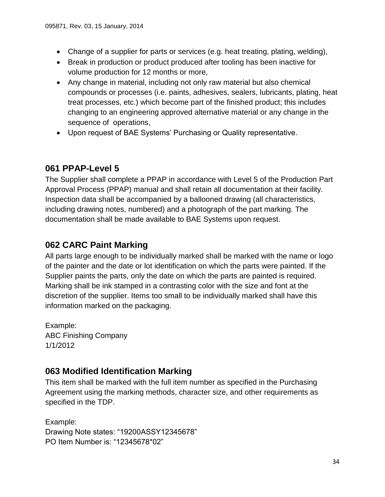- Change of a supplier for parts or services (e.g. heat treating, plating, welding),
- Break in production or product produced after tooling has been inactive for volume production for 12 months or more,
- Any change in material, including not only raw material but also chemical compounds or processes (i.e. paints, adhesives, sealers, lubricants, plating, heat treat processes, etc.) which become part of the finished product; this includes changing to an engineering approved alternative material or any change in the sequence of operations,
- Upon request of BAE Systems' Purchasing or Quality representative.

# <span id="page-33-0"></span>**061 PPAP-Level 5**

The Supplier shall complete a PPAP in accordance with Level 5 of the Production Part Approval Process (PPAP) manual and shall retain all documentation at their facility. Inspection data shall be accompanied by a ballooned drawing (all characteristics, including drawing notes, numbered) and a photograph of the part marking. The documentation shall be made available to BAE Systems upon request.

# <span id="page-33-1"></span>**062 CARC Paint Marking**

All parts large enough to be individually marked shall be marked with the name or logo of the painter and the date or lot identification on which the parts were painted. If the Supplier paints the parts, only the date on which the parts are painted is required. Marking shall be ink stamped in a contrasting color with the size and font at the discretion of the supplier. Items too small to be individually marked shall have this information marked on the packaging.

Example: ABC Finishing Company 1/1/2012

# <span id="page-33-2"></span>**063 Modified Identification Marking**

This item shall be marked with the full item number as specified in the Purchasing Agreement using the marking methods, character size, and other requirements as specified in the TDP.

Example: Drawing Note states: "19200ASSY12345678" PO Item Number is: "12345678\*02"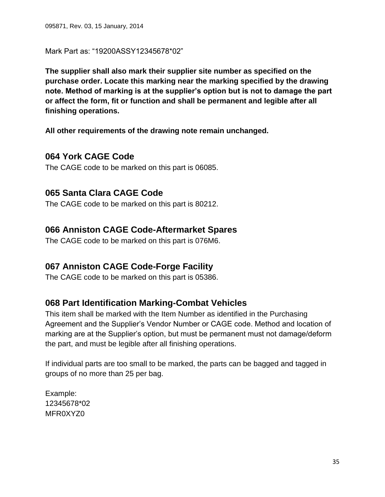Mark Part as: "19200ASSY12345678\*02"

**The supplier shall also mark their supplier site number as specified on the purchase order. Locate this marking near the marking specified by the drawing note. Method of marking is at the supplier's option but is not to damage the part or affect the form, fit or function and shall be permanent and legible after all finishing operations.**

<span id="page-34-0"></span>**All other requirements of the drawing note remain unchanged.**

#### **064 York CAGE Code**

<span id="page-34-1"></span>The CAGE code to be marked on this part is 06085.

### **065 Santa Clara CAGE Code**

<span id="page-34-2"></span>The CAGE code to be marked on this part is 80212.

### **066 Anniston CAGE Code-Aftermarket Spares**

<span id="page-34-3"></span>The CAGE code to be marked on this part is 076M6.

### **067 Anniston CAGE Code-Forge Facility**

<span id="page-34-4"></span>The CAGE code to be marked on this part is 05386.

### **068 Part Identification Marking-Combat Vehicles**

This item shall be marked with the Item Number as identified in the Purchasing Agreement and the Supplier's Vendor Number or CAGE code. Method and location of marking are at the Supplier's option, but must be permanent must not damage/deform the part, and must be legible after all finishing operations.

If individual parts are too small to be marked, the parts can be bagged and tagged in groups of no more than 25 per bag.

Example: 12345678\*02 MFR0XY70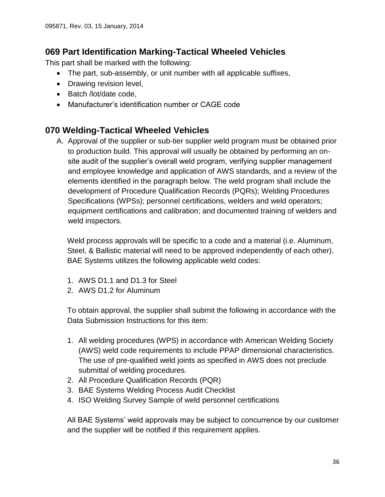### <span id="page-35-0"></span>**069 Part Identification Marking-Tactical Wheeled Vehicles**

This part shall be marked with the following:

- The part, sub-assembly, or unit number with all applicable suffixes,
- Drawing revision level,
- Batch /lot/date code.
- Manufacturer's identification number or CAGE code

### <span id="page-35-1"></span>**070 Welding-Tactical Wheeled Vehicles**

A. Approval of the supplier or sub-tier supplier weld program must be obtained prior to production build. This approval will usually be obtained by performing an onsite audit of the supplier's overall weld program, verifying supplier management and employee knowledge and application of AWS standards, and a review of the elements identified in the paragraph below. The weld program shall include the development of Procedure Qualification Records (PQRs); Welding Procedures Specifications (WPSs); personnel certifications, welders and weld operators; equipment certifications and calibration; and documented training of welders and weld inspectors.

Weld process approvals will be specific to a code and a material (i.e. Aluminum, Steel, & Ballistic material will need to be approved independently of each other). BAE Systems utilizes the following applicable weld codes:

- 1. AWS D1.1 and D1.3 for Steel
- 2. AWS D1.2 for Aluminum

To obtain approval, the supplier shall submit the following in accordance with the Data Submission Instructions for this item:

- 1. All welding procedures (WPS) in accordance with American Welding Society (AWS) weld code requirements to include PPAP dimensional characteristics. The use of pre-qualified weld joints as specified in AWS does not preclude submittal of welding procedures.
- 2. All Procedure Qualification Records (PQR)
- 3. BAE Systems Welding Process Audit Checklist
- 4. ISO Welding Survey Sample of weld personnel certifications

All BAE Systems' weld approvals may be subject to concurrence by our customer and the supplier will be notified if this requirement applies.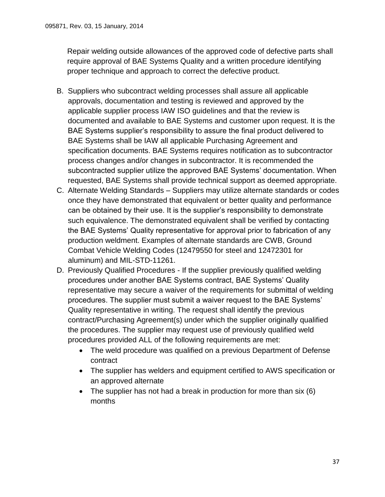Repair welding outside allowances of the approved code of defective parts shall require approval of BAE Systems Quality and a written procedure identifying proper technique and approach to correct the defective product.

- B. Suppliers who subcontract welding processes shall assure all applicable approvals, documentation and testing is reviewed and approved by the applicable supplier process IAW ISO guidelines and that the review is documented and available to BAE Systems and customer upon request. It is the BAE Systems supplier's responsibility to assure the final product delivered to BAE Systems shall be IAW all applicable Purchasing Agreement and specification documents. BAE Systems requires notification as to subcontractor process changes and/or changes in subcontractor. It is recommended the subcontracted supplier utilize the approved BAE Systems' documentation. When requested, BAE Systems shall provide technical support as deemed appropriate.
- C. Alternate Welding Standards Suppliers may utilize alternate standards or codes once they have demonstrated that equivalent or better quality and performance can be obtained by their use. It is the supplier's responsibility to demonstrate such equivalence. The demonstrated equivalent shall be verified by contacting the BAE Systems' Quality representative for approval prior to fabrication of any production weldment. Examples of alternate standards are CWB, Ground Combat Vehicle Welding Codes (12479550 for steel and 12472301 for aluminum) and MIL-STD-11261.
- D. Previously Qualified Procedures If the supplier previously qualified welding procedures under another BAE Systems contract, BAE Systems' Quality representative may secure a waiver of the requirements for submittal of welding procedures. The supplier must submit a waiver request to the BAE Systems' Quality representative in writing. The request shall identify the previous contract/Purchasing Agreement(s) under which the supplier originally qualified the procedures. The supplier may request use of previously qualified weld procedures provided ALL of the following requirements are met:
	- The weld procedure was qualified on a previous Department of Defense contract
	- The supplier has welders and equipment certified to AWS specification or an approved alternate
	- $\bullet$  The supplier has not had a break in production for more than six (6) months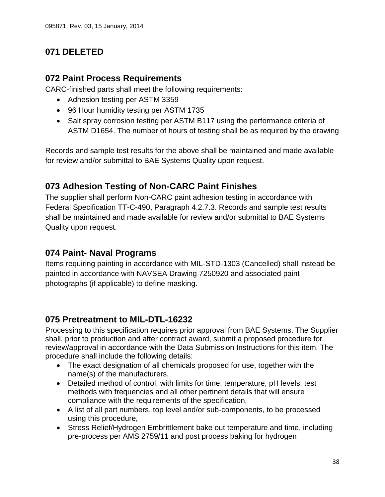# <span id="page-37-1"></span><span id="page-37-0"></span>**071 DELETED**

# **072 Paint Process Requirements**

CARC-finished parts shall meet the following requirements:

- Adhesion testing per ASTM 3359
- 96 Hour humidity testing per ASTM 1735
- Salt spray corrosion testing per ASTM B117 using the performance criteria of ASTM D1654. The number of hours of testing shall be as required by the drawing

Records and sample test results for the above shall be maintained and made available for review and/or submittal to BAE Systems Quality upon request.

# <span id="page-37-2"></span>**073 Adhesion Testing of Non-CARC Paint Finishes**

The supplier shall perform Non-CARC paint adhesion testing in accordance with Federal Specification TT-C-490, Paragraph 4.2.7.3. Records and sample test results shall be maintained and made available for review and/or submittal to BAE Systems Quality upon request.

# <span id="page-37-3"></span>**074 Paint- Naval Programs**

Items requiring painting in accordance with MIL-STD-1303 (Cancelled) shall instead be painted in accordance with NAVSEA Drawing 7250920 and associated paint photographs (if applicable) to define masking.

### <span id="page-37-4"></span>**075 Pretreatment to MIL-DTL-16232**

Processing to this specification requires prior approval from BAE Systems. The Supplier shall, prior to production and after contract award, submit a proposed procedure for review/approval in accordance with the Data Submission Instructions for this item. The procedure shall include the following details:

- The exact designation of all chemicals proposed for use, together with the name(s) of the manufacturers,
- Detailed method of control, with limits for time, temperature, pH levels, test methods with frequencies and all other pertinent details that will ensure compliance with the requirements of the specification,
- A list of all part numbers, top level and/or sub-components, to be processed using this procedure,
- Stress Relief/Hydrogen Embrittlement bake out temperature and time, including pre-process per AMS 2759/11 and post process baking for hydrogen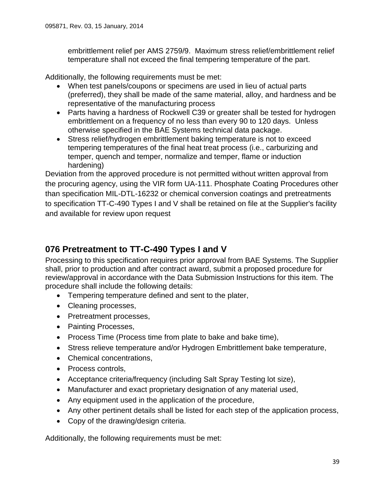embrittlement relief per AMS 2759/9. Maximum stress relief/embrittlement relief temperature shall not exceed the final tempering temperature of the part.

Additionally, the following requirements must be met:

- When test panels/coupons or specimens are used in lieu of actual parts (preferred), they shall be made of the same material, alloy, and hardness and be representative of the manufacturing process
- Parts having a hardness of Rockwell C39 or greater shall be tested for hydrogen embrittlement on a frequency of no less than every 90 to 120 days. Unless otherwise specified in the BAE Systems technical data package.
- Stress relief/hydrogen embrittlement baking temperature is not to exceed tempering temperatures of the final heat treat process (i.e., carburizing and temper, quench and temper, normalize and temper, flame or induction hardening)

Deviation from the approved procedure is not permitted without written approval from the procuring agency, using the VIR form UA-111. Phosphate Coating Procedures other than specification MIL-DTL-16232 or chemical conversion coatings and pretreatments to specification TT-C-490 Types I and V shall be retained on file at the Supplier's facility and available for review upon request

# <span id="page-38-0"></span>**076 Pretreatment to TT-C-490 Types I and V**

Processing to this specification requires prior approval from BAE Systems. The Supplier shall, prior to production and after contract award, submit a proposed procedure for review/approval in accordance with the Data Submission Instructions for this item. The procedure shall include the following details:

- Tempering temperature defined and sent to the plater,
- Cleaning processes,
- Pretreatment processes,
- Painting Processes,
- Process Time (Process time from plate to bake and bake time),
- Stress relieve temperature and/or Hydrogen Embrittlement bake temperature,
- Chemical concentrations,
- Process controls,
- Acceptance criteria/frequency (including Salt Spray Testing lot size),
- Manufacturer and exact proprietary designation of any material used,
- Any equipment used in the application of the procedure,
- Any other pertinent details shall be listed for each step of the application process,
- Copy of the drawing/design criteria.

Additionally, the following requirements must be met: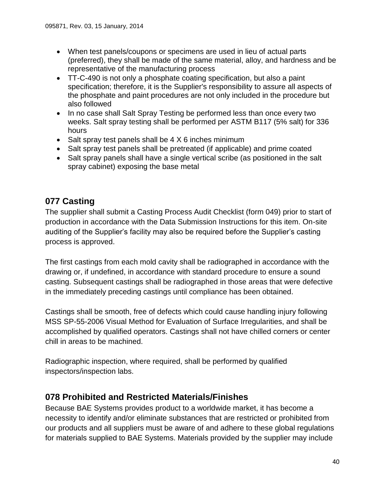- When test panels/coupons or specimens are used in lieu of actual parts (preferred), they shall be made of the same material, alloy, and hardness and be representative of the manufacturing process
- TT-C-490 is not only a phosphate coating specification, but also a paint specification; therefore, it is the Supplier's responsibility to assure all aspects of the phosphate and paint procedures are not only included in the procedure but also followed
- In no case shall Salt Spray Testing be performed less than once every two weeks. Salt spray testing shall be performed per ASTM B117 (5% salt) for 336 hours
- Salt spray test panels shall be 4 X 6 inches minimum
- Salt spray test panels shall be pretreated (if applicable) and prime coated
- Salt spray panels shall have a single vertical scribe (as positioned in the salt spray cabinet) exposing the base metal

# <span id="page-39-0"></span>**077 Casting**

The supplier shall submit a Casting Process Audit Checklist (form 049) prior to start of production in accordance with the Data Submission Instructions for this item. On-site auditing of the Supplier's facility may also be required before the Supplier's casting process is approved.

The first castings from each mold cavity shall be radiographed in accordance with the drawing or, if undefined, in accordance with standard procedure to ensure a sound casting. Subsequent castings shall be radiographed in those areas that were defective in the immediately preceding castings until compliance has been obtained.

Castings shall be smooth, free of defects which could cause handling injury following MSS SP-55-2006 Visual Method for Evaluation of Surface Irregularities, and shall be accomplished by qualified operators. Castings shall not have chilled corners or center chill in areas to be machined.

Radiographic inspection, where required, shall be performed by qualified inspectors/inspection labs.

### <span id="page-39-1"></span>**078 Prohibited and Restricted Materials/Finishes**

Because BAE Systems provides product to a worldwide market, it has become a necessity to identify and/or eliminate substances that are restricted or prohibited from our products and all suppliers must be aware of and adhere to these global regulations for materials supplied to BAE Systems. Materials provided by the supplier may include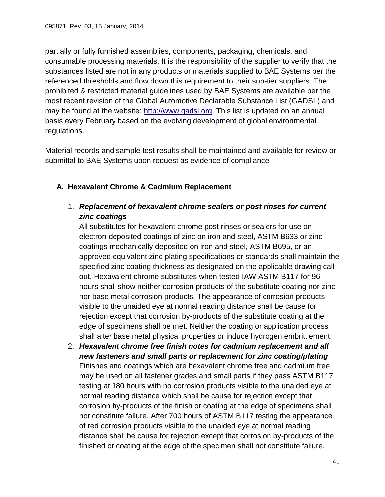partially or fully furnished assemblies, components, packaging, chemicals, and consumable processing materials. It is the responsibility of the supplier to verify that the substances listed are not in any products or materials supplied to BAE Systems per the referenced thresholds and flow down this requirement to their sub-tier suppliers. The prohibited & restricted material guidelines used by BAE Systems are available per the most recent revision of the Global Automotive Declarable Substance List (GADSL) and may be found at the website: [http://www.gadsl.org.](http://www.gadsl.org/) This list is updated on an annual basis every February based on the evolving development of global environmental regulations.

Material records and sample test results shall be maintained and available for review or submittal to BAE Systems upon request as evidence of compliance

#### <span id="page-40-0"></span>**A. Hexavalent Chrome & Cadmium Replacement**

1. *Replacement of hexavalent chrome sealers or post rinses for current zinc coatings*

All substitutes for hexavalent chrome post rinses or sealers for use on electron-deposited coatings of zinc on iron and steel, ASTM B633 or zinc coatings mechanically deposited on iron and steel, ASTM B695, or an approved equivalent zinc plating specifications or standards shall maintain the specified zinc coating thickness as designated on the applicable drawing callout. Hexavalent chrome substitutes when tested IAW ASTM B117 for 96 hours shall show neither corrosion products of the substitute coating nor zinc nor base metal corrosion products. The appearance of corrosion products visible to the unaided eye at normal reading distance shall be cause for rejection except that corrosion by-products of the substitute coating at the edge of specimens shall be met. Neither the coating or application process shall alter base metal physical properties or induce hydrogen embrittlement.

2. *Hexavalent chrome free finish notes for cadmium replacement and all new fasteners and small parts or replacement for zinc coating/plating* Finishes and coatings which are hexavalent chrome free and cadmium free may be used on all fastener grades and small parts if they pass ASTM B117 testing at 180 hours with no corrosion products visible to the unaided eye at normal reading distance which shall be cause for rejection except that corrosion by-products of the finish or coating at the edge of specimens shall not constitute failure. After 700 hours of ASTM B117 testing the appearance of red corrosion products visible to the unaided eye at normal reading distance shall be cause for rejection except that corrosion by-products of the finished or coating at the edge of the specimen shall not constitute failure.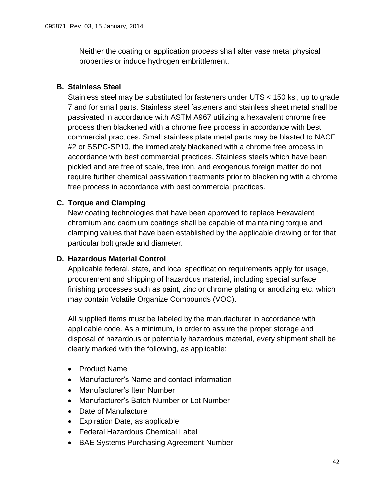Neither the coating or application process shall alter vase metal physical properties or induce hydrogen embrittlement.

#### <span id="page-41-0"></span>**B. Stainless Steel**

Stainless steel may be substituted for fasteners under UTS < 150 ksi, up to grade 7 and for small parts. Stainless steel fasteners and stainless sheet metal shall be passivated in accordance with ASTM A967 utilizing a hexavalent chrome free process then blackened with a chrome free process in accordance with best commercial practices. Small stainless plate metal parts may be blasted to NACE #2 or SSPC-SP10, the immediately blackened with a chrome free process in accordance with best commercial practices. Stainless steels which have been pickled and are free of scale, free iron, and exogenous foreign matter do not require further chemical passivation treatments prior to blackening with a chrome free process in accordance with best commercial practices.

#### <span id="page-41-1"></span>**C. Torque and Clamping**

New coating technologies that have been approved to replace Hexavalent chromium and cadmium coatings shall be capable of maintaining torque and clamping values that have been established by the applicable drawing or for that particular bolt grade and diameter.

#### <span id="page-41-2"></span>**D. Hazardous Material Control**

Applicable federal, state, and local specification requirements apply for usage, procurement and shipping of hazardous material, including special surface finishing processes such as paint, zinc or chrome plating or anodizing etc. which may contain Volatile Organize Compounds (VOC).

All supplied items must be labeled by the manufacturer in accordance with applicable code. As a minimum, in order to assure the proper storage and disposal of hazardous or potentially hazardous material, every shipment shall be clearly marked with the following, as applicable:

- Product Name
- Manufacturer's Name and contact information
- Manufacturer's Item Number
- Manufacturer's Batch Number or Lot Number
- Date of Manufacture
- Expiration Date, as applicable
- Federal Hazardous Chemical Label
- BAE Systems Purchasing Agreement Number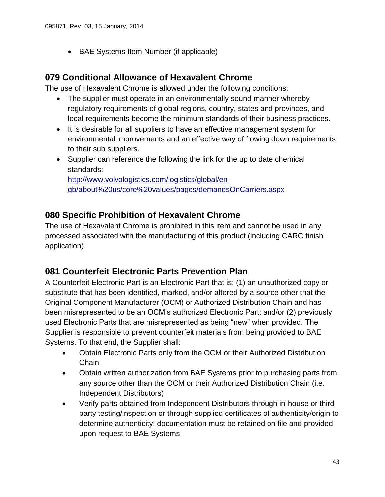BAE Systems Item Number (if applicable)

### <span id="page-42-0"></span>**079 Conditional Allowance of Hexavalent Chrome**

The use of Hexavalent Chrome is allowed under the following conditions:

- The supplier must operate in an environmentally sound manner whereby regulatory requirements of global regions, country, states and provinces, and local requirements become the minimum standards of their business practices.
- It is desirable for all suppliers to have an effective management system for environmental improvements and an effective way of flowing down requirements to their sub suppliers.
- Supplier can reference the following the link for the up to date chemical standards:

[http://www.volvologistics.com/logistics/global/en](http://www.volvologistics.com/logistics/global/en-gb/about%20us/core%20values/pages/demandsOnCarriers.aspx)[gb/about%20us/core%20values/pages/demandsOnCarriers.aspx](http://www.volvologistics.com/logistics/global/en-gb/about%20us/core%20values/pages/demandsOnCarriers.aspx)

### <span id="page-42-1"></span>**080 Specific Prohibition of Hexavalent Chrome**

The use of Hexavalent Chrome is prohibited in this item and cannot be used in any processed associated with the manufacturing of this product (including CARC finish application).

### <span id="page-42-2"></span>**081 Counterfeit Electronic Parts Prevention Plan**

A Counterfeit Electronic Part is an Electronic Part that is: (1) an unauthorized copy or substitute that has been identified, marked, and/or altered by a source other that the Original Component Manufacturer (OCM) or Authorized Distribution Chain and has been misrepresented to be an OCM's authorized Electronic Part; and/or (2) previously used Electronic Parts that are misrepresented as being "new" when provided. The Supplier is responsible to prevent counterfeit materials from being provided to BAE Systems. To that end, the Supplier shall:

- Obtain Electronic Parts only from the OCM or their Authorized Distribution **Chain**
- Obtain written authorization from BAE Systems prior to purchasing parts from any source other than the OCM or their Authorized Distribution Chain (i.e. Independent Distributors)
- Verify parts obtained from Independent Distributors through in-house or thirdparty testing/inspection or through supplied certificates of authenticity/origin to determine authenticity; documentation must be retained on file and provided upon request to BAE Systems